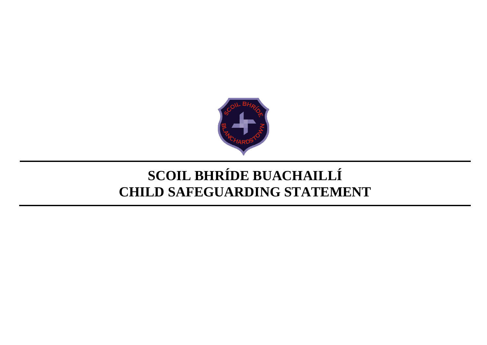

# **SCOIL BHRÍDE BUACHAILLÍ CHILD SAFEGUARDING STATEMENT**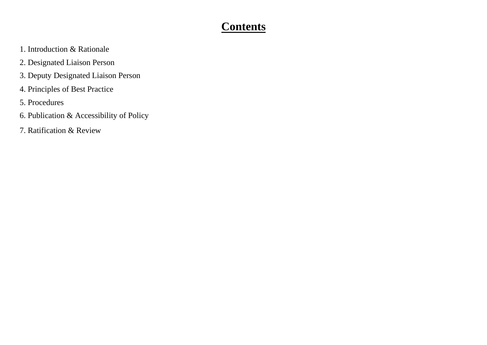### **Contents**

- 1. Introduction & Rationale
- 2. Designated Liaison Person
- 3. Deputy Designated Liaison Person
- 4. Principles of Best Practice
- 5. Procedures
- 6. Publication & Accessibility of Policy
- 7. Ratification & Review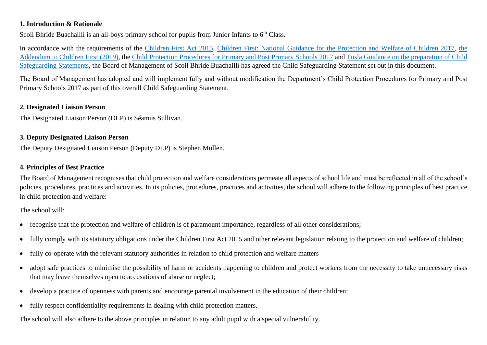#### **1. Introduction & Rationale**

Scoil Bhríde Buachaillí is an all-boys primary school for pupils from Junior Infants to 6<sup>th</sup> Class.

In accordance with the requirements of the [Children First Act 2015,](http://www.irishstatutebook.ie/eli/2015/act/36/enacted/en/pdf) [Children First: National Guidance for the Protection and Welfare of Children 2017,](https://assets.gov.ie/25844/b90aafa55804462f84d05f87f0ca2bf6.pdf) [the](https://assets.gov.ie/25819/c9744b64dfd6447985eeffa5c0d71bbb.pdf)  [Addendum to Children First \(2019\),](https://assets.gov.ie/25819/c9744b64dfd6447985eeffa5c0d71bbb.pdf) the [Child Protection Procedures for Primary and Post Primary Schools 2017](https://www.gov.ie/pdf/?file=https://assets.gov.ie/45063/2d4b5b3d781e4ec1ab4f3e5d198717d9.pdf#page=1) and [Tusla Guidance on the preparation of Child](https://www.tusla.ie/uploads/content/4214-TUSLA_Guidance_on_Developing_a_CSS_LR.PDF)  [Safeguarding Statements,](https://www.tusla.ie/uploads/content/4214-TUSLA_Guidance_on_Developing_a_CSS_LR.PDF) the Board of Management of Scoil Bhríde Buachaillí has agreed the Child Safeguarding Statement set out in this document.

The Board of Management has adopted and will implement fully and without modification the Department's Child Protection Procedures for Primary and Post Primary Schools 2017 as part of this overall Child Safeguarding Statement.

#### **2. Designated Liaison Person**

The Designated Liaison Person (DLP) is Séamus Sullivan.

#### **3. Deputy Designated Liaison Person**

The Deputy Designated Liaison Person (Deputy DLP) is Stephen Mullen.

#### **4. Principles of Best Practice**

The Board of Management recognises that child protection and welfare considerations permeate all aspects of school life and must be reflected in all of the school's policies, procedures, practices and activities. In its policies, procedures, practices and activities, the school will adhere to the following principles of best practice in child protection and welfare:

The school will:

- recognise that the protection and welfare of children is of paramount importance, regardless of all other considerations;
- fully comply with its statutory obligations under the Children First Act 2015 and other relevant legislation relating to the protection and welfare of children;
- fully co-operate with the relevant statutory authorities in relation to child protection and welfare matters
- adopt safe practices to minimise the possibility of harm or accidents happening to children and protect workers from the necessity to take unnecessary risks that may leave themselves open to accusations of abuse or neglect;
- develop a practice of openness with parents and encourage parental involvement in the education of their children;
- fully respect confidentiality requirements in dealing with child protection matters.

The school will also adhere to the above principles in relation to any adult pupil with a special vulnerability.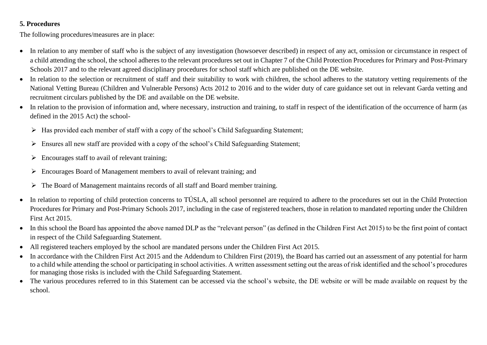#### **5. Procedures**

The following procedures/measures are in place:

- In relation to any member of staff who is the subject of any investigation (howsoever described) in respect of any act, omission or circumstance in respect of a child attending the school, the school adheres to the relevant procedures set out in Chapter 7 of the Child Protection Procedures for Primary and Post-Primary Schools 2017 and to the relevant agreed disciplinary procedures for school staff which are published on the DE website.
- In relation to the selection or recruitment of staff and their suitability to work with children, the school adheres to the statutory vetting requirements of the National Vetting Bureau (Children and Vulnerable Persons) Acts 2012 to 2016 and to the wider duty of care guidance set out in relevant Garda vetting and recruitment circulars published by the DE and available on the DE website.
- In relation to the provision of information and, where necessary, instruction and training, to staff in respect of the identification of the occurrence of harm (as defined in the 2015 Act) the school-
	- ➢ Has provided each member of staff with a copy of the school's Child Safeguarding Statement;
	- ➢ Ensures all new staff are provided with a copy of the school's Child Safeguarding Statement;
	- $\triangleright$  Encourages staff to avail of relevant training;
	- ➢ Encourages Board of Management members to avail of relevant training; and
	- ➢ The Board of Management maintains records of all staff and Board member training.
- In relation to reporting of child protection concerns to TÚSLA, all school personnel are required to adhere to the procedures set out in the Child Protection Procedures for Primary and Post-Primary Schools 2017, including in the case of registered teachers, those in relation to mandated reporting under the Children First Act 2015.
- In this school the Board has appointed the above named DLP as the "relevant person" (as defined in the Children First Act 2015) to be the first point of contact in respect of the Child Safeguarding Statement.
- All registered teachers employed by the school are mandated persons under the Children First Act 2015.
- In accordance with the Children First Act 2015 and the Addendum to Children First (2019), the Board has carried out an assessment of any potential for harm to a child while attending the school or participating in school activities. A written assessment setting out the areas of risk identified and the school's procedures for managing those risks is included with the Child Safeguarding Statement.
- The various procedures referred to in this Statement can be accessed via the school's website, the DE website or will be made available on request by the school.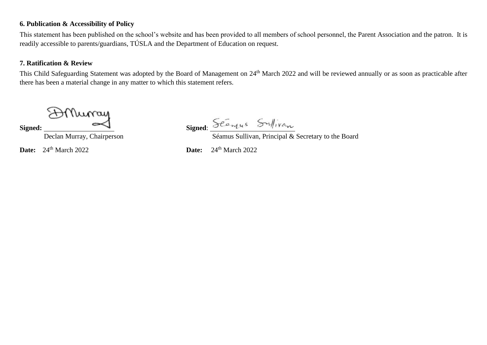#### **6. Publication & Accessibility of Policy**

This statement has been published on the school's website and has been provided to all members of school personnel, the Parent Association and the patron. It is readily accessible to parents/guardians, TÚSLA and the Department of Education on request.

#### **7. Ratification & Review**

This Child Safeguarding Statement was adopted by the Board of Management on 24<sup>th</sup> March 2022 and will be reviewed annually or as soon as practicable after there has been a material change in any matter to which this statement refers.

Muray

Signed: Signed:

Declan Murray, Chairperson Séamus Sullivan, Principal & Secretary to the Board

**Date:**  $24^{\text{th}}$  March 2022 **Date:**  $24^{\text{th}}$  March 2022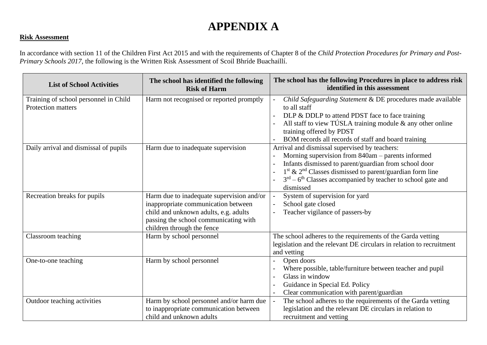## **APPENDIX A**

#### **Risk Assessment**

In accordance with section 11 of the Children First Act 2015 and with the requirements of Chapter 8 of the *Child Protection Procedures for Primary and Post-Primary Schools 2017*, the following is the Written Risk Assessment of Scoil Bhríde Buachaillí.

| <b>List of School Activities</b>                            | The school has identified the following<br><b>Risk of Harm</b>                                                                                                                                   | The school has the following Procedures in place to address risk<br>identified in this assessment                                                                                                                                                                                                         |
|-------------------------------------------------------------|--------------------------------------------------------------------------------------------------------------------------------------------------------------------------------------------------|-----------------------------------------------------------------------------------------------------------------------------------------------------------------------------------------------------------------------------------------------------------------------------------------------------------|
| Training of school personnel in Child<br>Protection matters | Harm not recognised or reported promptly                                                                                                                                                         | Child Safeguarding Statement & DE procedures made available<br>to all staff<br>DLP & DDLP to attend PDST face to face training<br>All staff to view TÚSLA training module $\&$ any other online<br>training offered by PDST<br>BOM records all records of staff and board training                        |
| Daily arrival and dismissal of pupils                       | Harm due to inadequate supervision                                                                                                                                                               | Arrival and dismissal supervised by teachers:<br>Morning supervision from 840am - parents informed<br>Infants dismissed to parent/guardian from school door<br>$1st$ & $2nd$ Classes dismissed to parent/guardian form line<br>$3rd - 6th$ Classes accompanied by teacher to school gate and<br>dismissed |
| Recreation breaks for pupils                                | Harm due to inadequate supervision and/or<br>inappropriate communication between<br>child and unknown adults, e.g. adults<br>passing the school communicating with<br>children through the fence | System of supervision for yard<br>School gate closed<br>$\blacksquare$<br>Teacher vigilance of passers-by                                                                                                                                                                                                 |
| Classroom teaching                                          | Harm by school personnel                                                                                                                                                                         | The school adheres to the requirements of the Garda vetting<br>legislation and the relevant DE circulars in relation to recruitment<br>and vetting                                                                                                                                                        |
| One-to-one teaching                                         | Harm by school personnel                                                                                                                                                                         | Open doors<br>Where possible, table/furniture between teacher and pupil<br>Glass in window<br>Guidance in Special Ed. Policy<br>Clear communication with parent/guardian                                                                                                                                  |
| Outdoor teaching activities                                 | Harm by school personnel and/or harm due<br>to inappropriate communication between<br>child and unknown adults                                                                                   | The school adheres to the requirements of the Garda vetting<br>legislation and the relevant DE circulars in relation to<br>recruitment and vetting                                                                                                                                                        |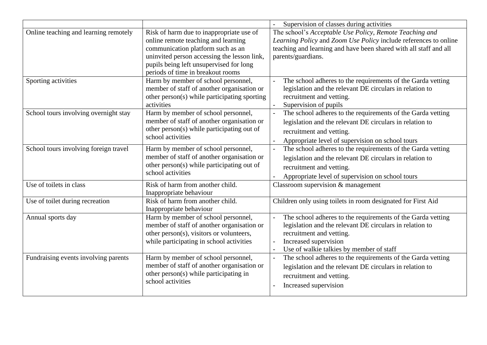|                                       |                                                                                                                                                                                                                                                     | Supervision of classes during activities                                                                                                                                                                                                                               |
|---------------------------------------|-----------------------------------------------------------------------------------------------------------------------------------------------------------------------------------------------------------------------------------------------------|------------------------------------------------------------------------------------------------------------------------------------------------------------------------------------------------------------------------------------------------------------------------|
| Online teaching and learning remotely | Risk of harm due to inappropriate use of<br>online remote teaching and learning<br>communication platform such as an<br>uninvited person accessing the lesson link,<br>pupils being left unsupervised for long<br>periods of time in breakout rooms | The school's Acceptable Use Policy, Remote Teaching and<br>Learning Policy and Zoom Use Policy include references to online<br>teaching and learning and have been shared with all staff and all<br>parents/guardians.                                                 |
| Sporting activities                   | Harm by member of school personnel,<br>member of staff of another organisation or<br>other person(s) while participating sporting<br>activities                                                                                                     | The school adheres to the requirements of the Garda vetting<br>legislation and the relevant DE circulars in relation to<br>recruitment and vetting.<br>Supervision of pupils                                                                                           |
| School tours involving overnight stay | Harm by member of school personnel,<br>member of staff of another organisation or<br>other person(s) while participating out of<br>school activities                                                                                                | The school adheres to the requirements of the Garda vetting<br>$\Box$<br>legislation and the relevant DE circulars in relation to<br>recruitment and vetting.<br>Appropriate level of supervision on school tours                                                      |
| School tours involving foreign travel | Harm by member of school personnel,<br>member of staff of another organisation or<br>other person(s) while participating out of<br>school activities                                                                                                | The school adheres to the requirements of the Garda vetting<br>$\overline{a}$<br>legislation and the relevant DE circulars in relation to<br>recruitment and vetting.<br>Appropriate level of supervision on school tours                                              |
| Use of toilets in class               | Risk of harm from another child.<br>Inappropriate behaviour                                                                                                                                                                                         | Classroom supervision & management                                                                                                                                                                                                                                     |
| Use of toilet during recreation       | Risk of harm from another child.<br>Inappropriate behaviour                                                                                                                                                                                         | Children only using toilets in room designated for First Aid                                                                                                                                                                                                           |
| Annual sports day                     | Harm by member of school personnel,<br>member of staff of another organisation or<br>other person(s), visitors or volunteers,<br>while participating in school activities                                                                           | The school adheres to the requirements of the Garda vetting<br>$\overline{a}$<br>legislation and the relevant DE circulars in relation to<br>recruitment and vetting.<br>Increased supervision<br>$\overline{\phantom{0}}$<br>Use of walkie talkies by member of staff |
| Fundraising events involving parents  | Harm by member of school personnel,<br>member of staff of another organisation or<br>other person(s) while participating in<br>school activities                                                                                                    | The school adheres to the requirements of the Garda vetting<br>$\overline{a}$<br>legislation and the relevant DE circulars in relation to<br>recruitment and vetting.<br>Increased supervision                                                                         |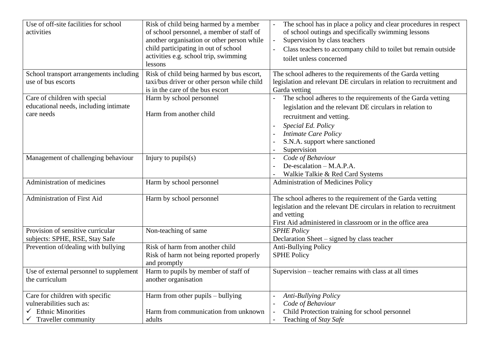| Use of off-site facilities for school<br>activities                                                            | Risk of child being harmed by a member<br>of school personnel, a member of staff of<br>another organisation or other person while<br>child participating in out of school<br>activities e.g. school trip, swimming<br>lessons | The school has in place a policy and clear procedures in respect<br>of school outings and specifically swimming lessons<br>Supervision by class teachers<br>Class teachers to accompany child to toilet but remain outside<br>toilet unless concerned      |
|----------------------------------------------------------------------------------------------------------------|-------------------------------------------------------------------------------------------------------------------------------------------------------------------------------------------------------------------------------|------------------------------------------------------------------------------------------------------------------------------------------------------------------------------------------------------------------------------------------------------------|
| School transport arrangements including<br>use of bus escorts                                                  | Risk of child being harmed by bus escort,<br>taxi/bus driver or other person while child<br>is in the care of the bus escort                                                                                                  | The school adheres to the requirements of the Garda vetting<br>legislation and relevant DE circulars in relation to recruitment and<br>Garda vetting                                                                                                       |
| Care of children with special<br>educational needs, including intimate<br>care needs                           | Harm by school personnel<br>Harm from another child                                                                                                                                                                           | The school adheres to the requirements of the Garda vetting<br>legislation and the relevant DE circulars in relation to<br>recruitment and vetting.<br>Special Ed. Policy<br><b>Intimate Care Policy</b><br>S.N.A. support where sanctioned<br>Supervision |
| Management of challenging behaviour                                                                            | Injury to $pupils(s)$                                                                                                                                                                                                         | Code of Behaviour<br>De-escalation $-M.A.P.A.$<br>Walkie Talkie & Red Card Systems                                                                                                                                                                         |
| Administration of medicines                                                                                    | Harm by school personnel                                                                                                                                                                                                      | <b>Administration of Medicines Policy</b>                                                                                                                                                                                                                  |
| Administration of First Aid                                                                                    | Harm by school personnel                                                                                                                                                                                                      | The school adheres to the requirement of the Garda vetting<br>legislation and the relevant DE circulars in relation to recruitment<br>and vetting<br>First Aid administered in classroom or in the office area                                             |
| Provision of sensitive curricular<br>subjects: SPHE, RSE, Stay Safe                                            | Non-teaching of same                                                                                                                                                                                                          | <b>SPHE Policy</b><br>Declaration Sheet - signed by class teacher                                                                                                                                                                                          |
| Prevention of/dealing with bullying                                                                            | Risk of harm from another child<br>Risk of harm not being reported properly<br>and promptly                                                                                                                                   | <b>Anti-Bullying Policy</b><br><b>SPHE Policy</b>                                                                                                                                                                                                          |
| Use of external personnel to supplement<br>the curriculum                                                      | Harm to pupils by member of staff of<br>another organisation                                                                                                                                                                  | Supervision – teacher remains with class at all times                                                                                                                                                                                                      |
| Care for children with specific<br>vulnerabilities such as:<br><b>Ethnic Minorities</b><br>Traveller community | Harm from other pupils – bullying<br>Harm from communication from unknown<br>adults                                                                                                                                           | <b>Anti-Bullying Policy</b><br>$\overline{\phantom{a}}$<br>Code of Behaviour<br>$\overline{\phantom{a}}$<br>Child Protection training for school personnel<br>$\overline{\phantom{a}}$<br>Teaching of Stay Safe<br>$\blacksquare$                          |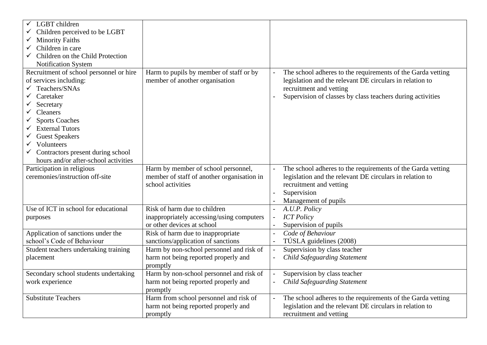| LGBT children                           |                                            |                          |                                                             |
|-----------------------------------------|--------------------------------------------|--------------------------|-------------------------------------------------------------|
| Children perceived to be LGBT           |                                            |                          |                                                             |
| <b>Minority Faiths</b><br>✓             |                                            |                          |                                                             |
| Children in care                        |                                            |                          |                                                             |
| Children on the Child Protection        |                                            |                          |                                                             |
| Notification System                     |                                            |                          |                                                             |
| Recruitment of school personnel or hire | Harm to pupils by member of staff or by    |                          | The school adheres to the requirements of the Garda vetting |
| of services including:                  | member of another organisation             |                          | legislation and the relevant DE circulars in relation to    |
| Teachers/SNAs                           |                                            |                          | recruitment and vetting                                     |
| Caretaker                               |                                            |                          | Supervision of classes by class teachers during activities  |
| Secretary                               |                                            |                          |                                                             |
| <b>Cleaners</b>                         |                                            |                          |                                                             |
| <b>Sports Coaches</b>                   |                                            |                          |                                                             |
| <b>External Tutors</b>                  |                                            |                          |                                                             |
| <b>Guest Speakers</b>                   |                                            |                          |                                                             |
| Volunteers                              |                                            |                          |                                                             |
| Contractors present during school       |                                            |                          |                                                             |
| hours and/or after-school activities    |                                            |                          |                                                             |
| Participation in religious              | Harm by member of school personnel,        | $\blacksquare$           | The school adheres to the requirements of the Garda vetting |
| ceremonies/instruction off-site         | member of staff of another organisation in |                          | legislation and the relevant DE circulars in relation to    |
|                                         | school activities                          |                          | recruitment and vetting                                     |
|                                         |                                            |                          | Supervision                                                 |
|                                         |                                            |                          | Management of pupils                                        |
| Use of ICT in school for educational    | Risk of harm due to children               | $\overline{a}$           | A.U.P. Policy                                               |
| purposes                                | inappropriately accessing/using computers  | $\blacksquare$           | <b>ICT</b> Policy                                           |
|                                         | or other devices at school                 |                          | Supervision of pupils                                       |
| Application of sanctions under the      | Risk of harm due to inappropriate          | $\overline{a}$           | Code of Behaviour                                           |
| school's Code of Behaviour              | sanctions/application of sanctions         | $\blacksquare$           | TÚSLA guidelines (2008)                                     |
| Student teachers undertaking training   | Harm by non-school personnel and risk of   | $\overline{\phantom{a}}$ | Supervision by class teacher                                |
| placement                               | harm not being reported properly and       | $\overline{a}$           | <b>Child Safeguarding Statement</b>                         |
|                                         | promptly                                   |                          |                                                             |
| Secondary school students undertaking   | Harm by non-school personnel and risk of   | $\overline{\phantom{a}}$ | Supervision by class teacher                                |
| work experience                         | harm not being reported properly and       |                          | <b>Child Safeguarding Statement</b>                         |
|                                         | promptly                                   |                          |                                                             |
| <b>Substitute Teachers</b>              | Harm from school personnel and risk of     | $\overline{a}$           | The school adheres to the requirements of the Garda vetting |
|                                         | harm not being reported properly and       |                          | legislation and the relevant DE circulars in relation to    |
|                                         | promptly                                   |                          | recruitment and vetting                                     |